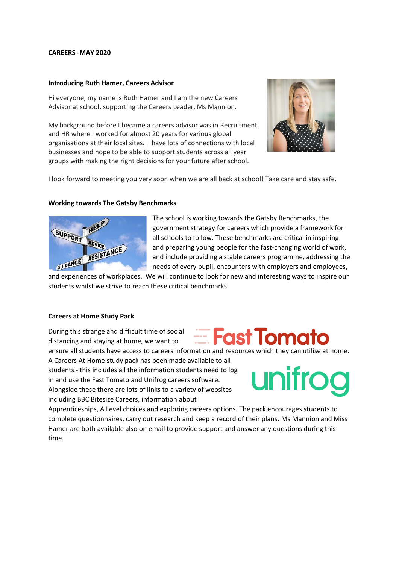### **CAREERS -MAY 2020**

### **Introducing Ruth Hamer, Careers Advisor**

Hi everyone, my name is Ruth Hamer and I am the new Careers Advisor at school, supporting the Careers Leader, Ms Mannion.

My background before I became a careers advisor was in Recruitment and HR where I worked for almost 20 years for various global organisations at their local sites. I have lots of connections with local businesses and hope to be able to support students across all year groups with making the right decisions for your future after school.



I look forward to meeting you very soon when we are all back at school! Take care and stay safe.

# **Working towards The Gatsby Benchmarks**



The school is working towards the Gatsby Benchmarks, the government strategy for careers which provide a framework for all schools to follow. These benchmarks are critical in inspiring and preparing young people for the fast-changing world of work, and include providing a stable careers programme, addressing the needs of every pupil, encounters with employers and employees,

**Experience Fraction Entry Enterprise** 

and experiences of workplaces. We will continue to look for new and interesting ways to inspire our students whilst we strive to reach these critical benchmarks.

### **Careers at Home Study Pack**

During this strange and difficult time of social distancing and staying at home, we want to

ensure all students have access to careers information and resources which they can utilise at home. A Careers At Home study pack has been made available to all students - this includes all the information students need to log in and use the Fast Tomato and Unifrog careers software. Alongside these there are lots of links to a variety of websites including BBC Bitesize Careers, information about



Apprenticeships, A Level choices and exploring careers options. The pack encourages students to complete questionnaires, carry out research and keep a record of their plans. Ms Mannion and Miss Hamer are both available also on email to provide support and answer any questions during this time.